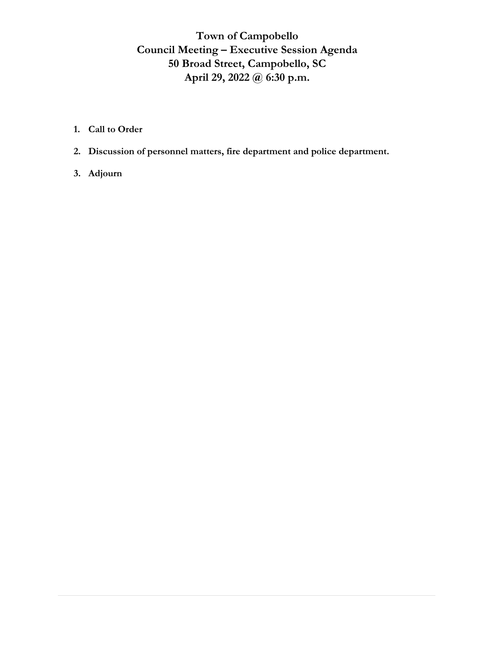# **Town of Campobello Council Meeting – Executive Session Agenda 50 Broad Street, Campobello, SC April 29, 2022 @ 6:30 p.m.**

- **1. Call to Order**
- **2. Discussion of personnel matters, fire department and police department.**
- **3. Adjourn**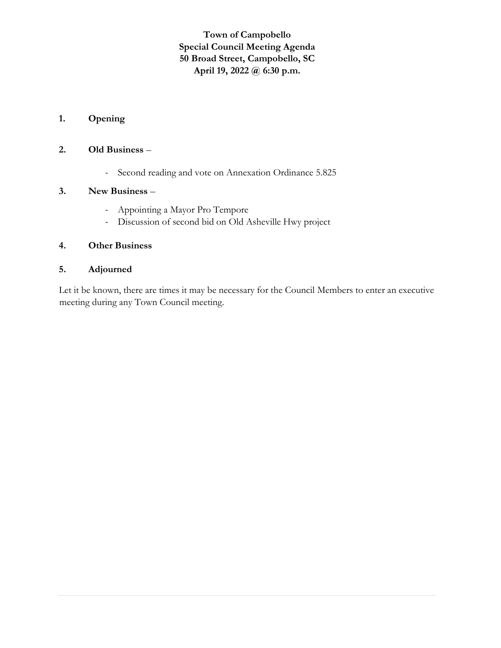# **Town of Campobello Special Council Meeting Agenda 50 Broad Street, Campobello, SC April 19, 2022 @ 6:30 p.m.**

# **1. Opening**

#### **2. Old Business** –

- Second reading and vote on Annexation Ordinance 5.825

## **3. New Business** –

- Appointing a Mayor Pro Tempore
- Discussion of second bid on Old Asheville Hwy project

#### **4. Other Business**

# **5. Adjourned**

Let it be known, there are times it may be necessary for the Council Members to enter an executive meeting during any Town Council meeting.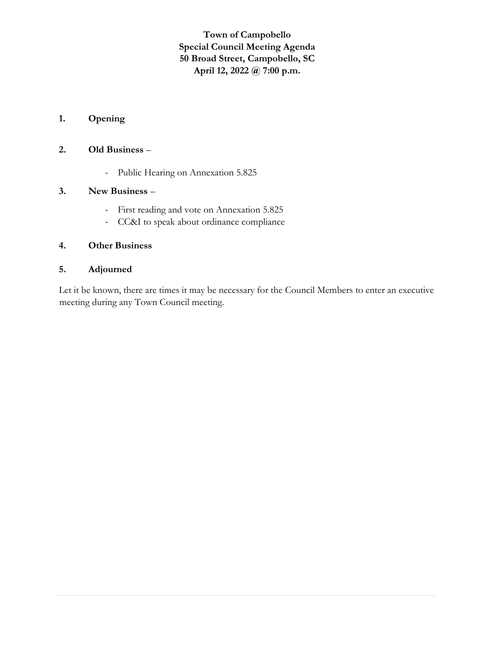**Town of Campobello Special Council Meeting Agenda 50 Broad Street, Campobello, SC April 12, 2022 @ 7:00 p.m.**

# **1. Opening**

# **2. Old Business** –

- Public Hearing on Annexation 5.825

## **3. New Business** –

- First reading and vote on Annexation 5.825
- CC&I to speak about ordinance compliance

## **4. Other Business**

# **5. Adjourned**

Let it be known, there are times it may be necessary for the Council Members to enter an executive meeting during any Town Council meeting.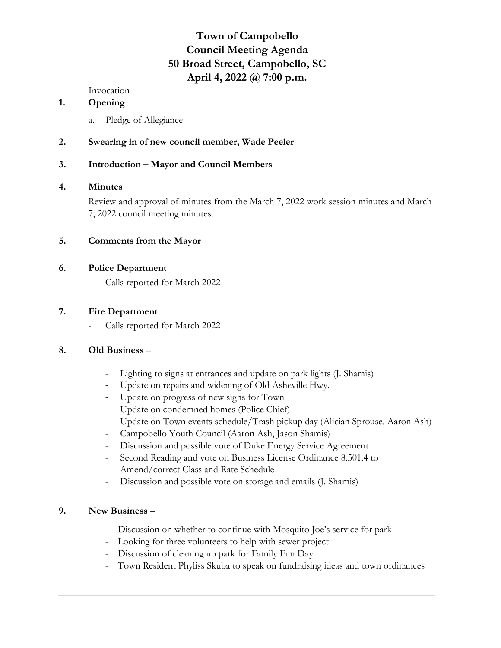# **Town of Campobello Council Meeting Agenda 50 Broad Street, Campobello, SC April 4, 2022 @ 7:00 p.m.**

Invocation

#### **1. Opening**

a. Pledge of Allegiance

# **2. Swearing in of new council member, Wade Peeler**

## **3. Introduction – Mayor and Council Members**

## **4. Minutes**

Review and approval of minutes from the March 7, 2022 work session minutes and March 7, 2022 council meeting minutes.

## **5. Comments from the Mayor**

## **6. Police Department**

Calls reported for March 2022

## **7. Fire Department**

- Calls reported for March 2022

## **8. Old Business** –

- Lighting to signs at entrances and update on park lights (J. Shamis)
- Update on repairs and widening of Old Asheville Hwy.
- Update on progress of new signs for Town
- Update on condemned homes (Police Chief)
- Update on Town events schedule/Trash pickup day (Alician Sprouse, Aaron Ash)
- Campobello Youth Council (Aaron Ash, Jason Shamis)
- Discussion and possible vote of Duke Energy Service Agreement
- Second Reading and vote on Business License Ordinance 8.501.4 to Amend/correct Class and Rate Schedule
- Discussion and possible vote on storage and emails (J. Shamis)

## **9. New Business** –

- Discussion on whether to continue with Mosquito Joe's service for park
- Looking for three volunteers to help with sewer project
- Discussion of cleaning up park for Family Fun Day
- Town Resident Phyliss Skuba to speak on fundraising ideas and town ordinances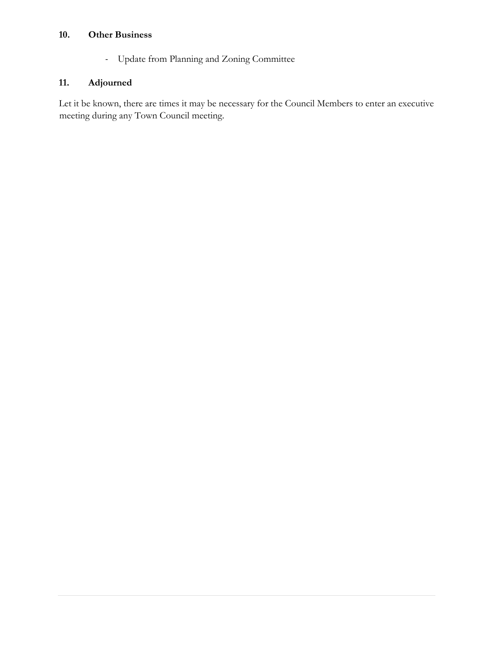# **10. Other Business**

- Update from Planning and Zoning Committee

# **11. Adjourned**

Let it be known, there are times it may be necessary for the Council Members to enter an executive meeting during any Town Council meeting.